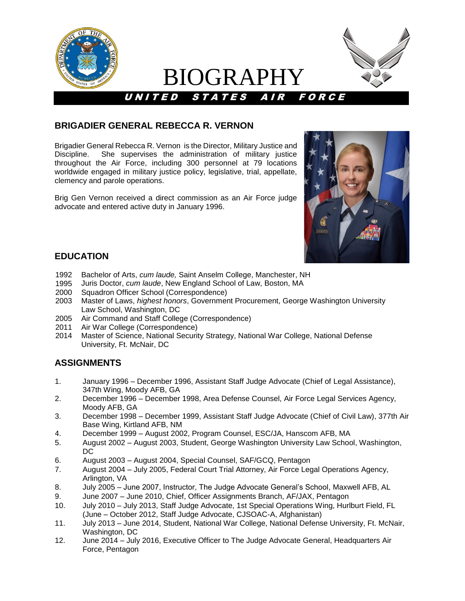

# BIOGRAPHY



## **BRIGADIER GENERAL REBECCA R. VERNON**

Brigadier General Rebecca R. Vernon is the Director, Military Justice and Discipline. She supervises the administration of military justice throughout the Air Force, including 300 personnel at 79 locations worldwide engaged in military justice policy, legislative, trial, appellate, clemency and parole operations.

Brig Gen Vernon received a direct commission as an Air Force judge advocate and entered active duty in January 1996.



## **EDUCATION**

- 1992 Bachelor of Arts, *cum laude,* Saint Anselm College, Manchester, NH
- 1995 Juris Doctor, *cum laude*, New England School of Law, Boston, MA
- 2000 Squadron Officer School (Correspondence)
- 2003 Master of Laws, *highest honors*, Government Procurement, George Washington University Law School, Washington, DC
- 2005 Air Command and Staff College (Correspondence)
- 2011 Air War College (Correspondence)
- 2014 Master of Science, National Security Strategy, National War College, National Defense University, Ft. McNair, DC

# **ASSIGNMENTS**

- 1. January 1996 December 1996, Assistant Staff Judge Advocate (Chief of Legal Assistance), 347th Wing, Moody AFB, GA
- 2. December 1996 December 1998, Area Defense Counsel, Air Force Legal Services Agency, Moody AFB, GA
- 3. December 1998 December 1999, Assistant Staff Judge Advocate (Chief of Civil Law), 377th Air Base Wing, Kirtland AFB, NM
- 4. December 1999 August 2002, Program Counsel, ESC/JA, Hanscom AFB, MA
- 5. August 2002 August 2003, Student, George Washington University Law School, Washington, DC
- 6. August 2003 August 2004, Special Counsel, SAF/GCQ, Pentagon
- 7. August 2004 July 2005, Federal Court Trial Attorney, Air Force Legal Operations Agency, Arlington, VA
- 8. July 2005 June 2007, Instructor, The Judge Advocate General's School, Maxwell AFB, AL
- 9. June 2007 June 2010, Chief, Officer Assignments Branch, AF/JAX, Pentagon
- 10. July 2010 July 2013, Staff Judge Advocate, 1st Special Operations Wing, Hurlburt Field, FL (June – October 2012, Staff Judge Advocate, CJSOAC-A, Afghanistan)
- 11. July 2013 June 2014, Student, National War College, National Defense University, Ft. McNair, Washington, DC
- 12. June 2014 July 2016, Executive Officer to The Judge Advocate General, Headquarters Air Force, Pentagon